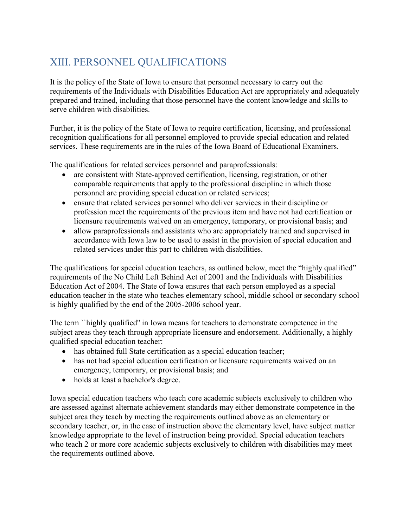## XIII. PERSONNEL QUALIFICATIONS

It is the policy of the State of Iowa to ensure that personnel necessary to carry out the requirements of the Individuals with Disabilities Education Act are appropriately and adequately prepared and trained, including that those personnel have the content knowledge and skills to serve children with disabilities.

Further, it is the policy of the State of Iowa to require certification, licensing, and professional recognition qualifications for all personnel employed to provide special education and related services. These requirements are in the rules of the Iowa Board of Educational Examiners.

The qualifications for related services personnel and paraprofessionals:

- are consistent with State-approved certification, licensing, registration, or other comparable requirements that apply to the professional discipline in which those personnel are providing special education or related services;
- ensure that related services personnel who deliver services in their discipline or profession meet the requirements of the previous item and have not had certification or licensure requirements waived on an emergency, temporary, or provisional basis; and
- allow paraprofessionals and assistants who are appropriately trained and supervised in accordance with Iowa law to be used to assist in the provision of special education and related services under this part to children with disabilities.

The qualifications for special education teachers, as outlined below, meet the "highly qualified" requirements of the No Child Left Behind Act of 2001 and the Individuals with Disabilities Education Act of 2004. The State of Iowa ensures that each person employed as a special education teacher in the state who teaches elementary school, middle school or secondary school is highly qualified by the end of the 2005-2006 school year.

The term ``highly qualified'' in Iowa means for teachers to demonstrate competence in the subject areas they teach through appropriate licensure and endorsement. Additionally, a highly qualified special education teacher:

- has obtained full State certification as a special education teacher;
- has not had special education certification or licensure requirements waived on an emergency, temporary, or provisional basis; and
- holds at least a bachelor's degree.

Iowa special education teachers who teach core academic subjects exclusively to children who are assessed against alternate achievement standards may either demonstrate competence in the subject area they teach by meeting the requirements outlined above as an elementary or secondary teacher, or, in the case of instruction above the elementary level, have subject matter knowledge appropriate to the level of instruction being provided. Special education teachers who teach 2 or more core academic subjects exclusively to children with disabilities may meet the requirements outlined above.